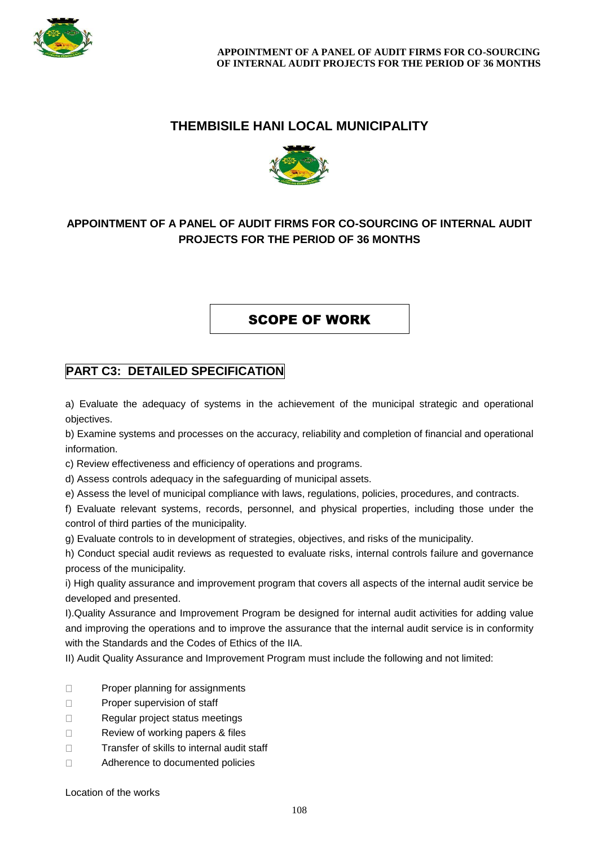

## **THEMBISILE HANI LOCAL MUNICIPALITY**



## **APPOINTMENT OF A PANEL OF AUDIT FIRMS FOR CO-SOURCING OF INTERNAL AUDIT PROJECTS FOR THE PERIOD OF 36 MONTHS**

SCOPE OF WORK

## **PART C3: DETAILED SPECIFICATION**

a) Evaluate the adequacy of systems in the achievement of the municipal strategic and operational objectives.

b) Examine systems and processes on the accuracy, reliability and completion of financial and operational information.

c) Review effectiveness and efficiency of operations and programs.

d) Assess controls adequacy in the safeguarding of municipal assets.

e) Assess the level of municipal compliance with laws, regulations, policies, procedures, and contracts.

f) Evaluate relevant systems, records, personnel, and physical properties, including those under the control of third parties of the municipality.

g) Evaluate controls to in development of strategies, objectives, and risks of the municipality.

h) Conduct special audit reviews as requested to evaluate risks, internal controls failure and governance process of the municipality.

i) High quality assurance and improvement program that covers all aspects of the internal audit service be developed and presented.

I).Quality Assurance and Improvement Program be designed for internal audit activities for adding value and improving the operations and to improve the assurance that the internal audit service is in conformity with the Standards and the Codes of Ethics of the IIA.

II) Audit Quality Assurance and Improvement Program must include the following and not limited:

- $\Box$ Proper planning for assignments
- $\Box$ Proper supervision of staff
- $\Box$ Regular project status meetings
- $\Box$ Review of working papers & files
- $\Box$ Transfer of skills to internal audit staff
- $\Box$ Adherence to documented policies

Location of the works